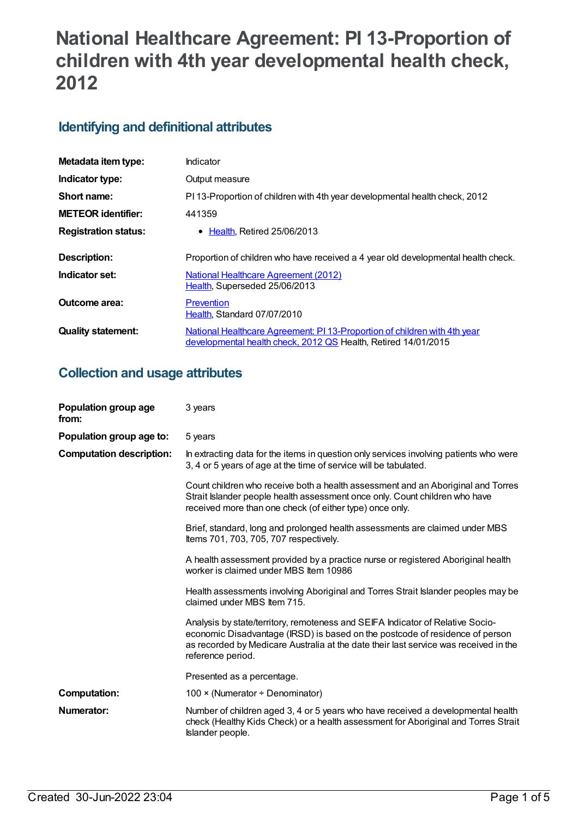# **National Healthcare Agreement: PI 13-Proportion of children with 4th year developmental health check, 2012**

## **Identifying and definitional attributes**

| Metadata item type:         | Indicator                                                                                                                                   |
|-----------------------------|---------------------------------------------------------------------------------------------------------------------------------------------|
| Indicator type:             | Output measure                                                                                                                              |
| Short name:                 | PI 13-Proportion of children with 4th year developmental health check, 2012                                                                 |
| <b>METEOR identifier:</b>   | 441359                                                                                                                                      |
| <b>Registration status:</b> | • Health, Retired 25/06/2013                                                                                                                |
| Description:                | Proportion of children who have received a 4 year old developmental health check.                                                           |
| Indicator set:              | National Healthcare Agreement (2012)<br>Health, Superseded 25/06/2013                                                                       |
| Outcome area:               | <b>Prevention</b><br>Health, Standard 07/07/2010                                                                                            |
| <b>Quality statement:</b>   | National Healthcare Agreement: PI 13-Proportion of children with 4th year<br>developmental health check, 2012 QS Health, Retired 14/01/2015 |

## **Collection and usage attributes**

| Population group age<br>from:   | 3 years                                                                                                                                                                                                                                                                     |
|---------------------------------|-----------------------------------------------------------------------------------------------------------------------------------------------------------------------------------------------------------------------------------------------------------------------------|
| Population group age to:        | 5 years                                                                                                                                                                                                                                                                     |
| <b>Computation description:</b> | In extracting data for the items in question only services involving patients who were<br>3, 4 or 5 years of age at the time of service will be tabulated.                                                                                                                  |
|                                 | Count children who receive both a health assessment and an Aboriginal and Torres<br>Strait Islander people health assessment once only. Count children who have<br>received more than one check (of either type) once only.                                                 |
|                                 | Brief, standard, long and prolonged health assessments are claimed under MBS<br>Items 701, 703, 705, 707 respectively.                                                                                                                                                      |
|                                 | A health assessment provided by a practice nurse or registered Aboriginal health<br>worker is claimed under MBS Item 10986                                                                                                                                                  |
|                                 | Health assessments involving Aboriginal and Torres Strait Islander peoples may be<br>claimed under MBS Item 715.                                                                                                                                                            |
|                                 | Analysis by state/territory, remoteness and SEIFA Indicator of Relative Socio-<br>economic Disadvantage (IRSD) is based on the postcode of residence of person<br>as recorded by Medicare Australia at the date their last service was received in the<br>reference period. |
|                                 | Presented as a percentage.                                                                                                                                                                                                                                                  |
| <b>Computation:</b>             | 100 $\times$ (Numerator ÷ Denominator)                                                                                                                                                                                                                                      |
| Numerator:                      | Number of children aged 3, 4 or 5 years who have received a developmental health<br>check (Healthy Kids Check) or a health assessment for Aboriginal and Torres Strait<br>Islander people.                                                                                  |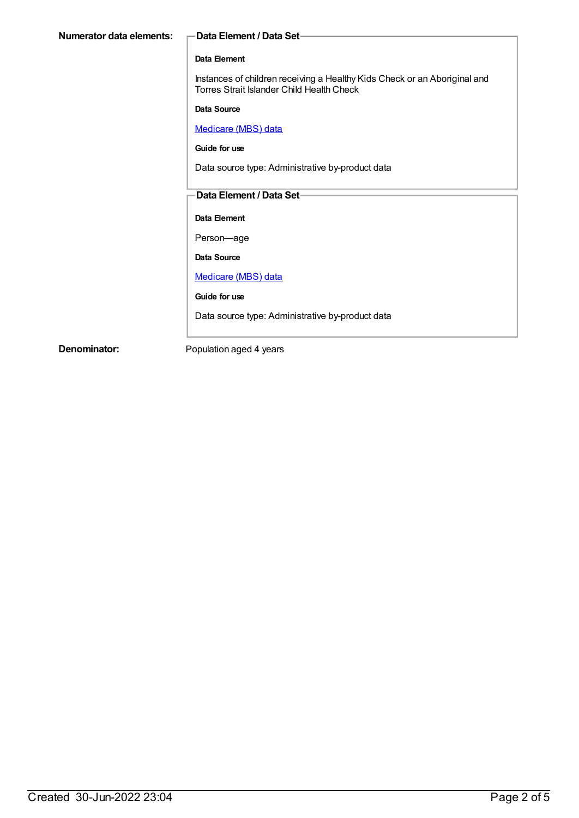#### **Data Element**

Instances of children receiving a Healthy Kids Check or an Aboriginal and Torres Strait Islander Child Health Check

**Data Source**

[Medicare](https://meteor.aihw.gov.au/content/394305) (MBS) data

**Guide for use**

Data source type: Administrative by-product data

### **Data Element / Data Set**

**Data Element**

Person—age

**Data Source**

### [Medicare](https://meteor.aihw.gov.au/content/394305) (MBS) data

**Guide for use**

Data source type: Administrative by-product data

**Denominator:** Population aged 4 years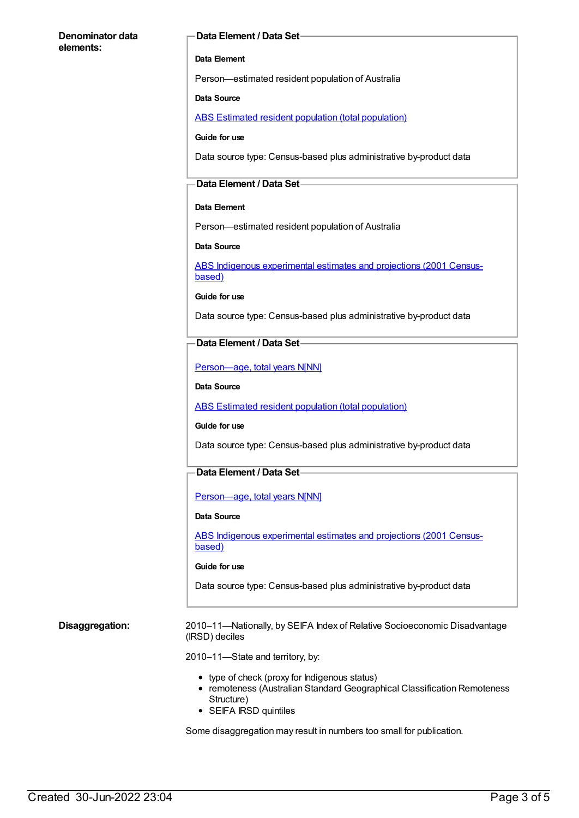#### **Denominator data elements:**

#### **Data Element / Data Set**

#### **Data Element**

Person—estimated resident population of Australia

#### **Data Source**

ABS Estimated resident population (total [population\)](https://meteor.aihw.gov.au/content/393625)

#### **Guide for use**

Data source type: Census-based plus administrative by-product data

#### **Data Element / Data Set**

#### **Data Element**

Person—estimated resident population of Australia

#### **Data Source**

ABS Indigenous [experimental](https://meteor.aihw.gov.au/content/394092) estimates and projections (2001 Censusbased)

#### **Guide for use**

Data source type: Census-based plus administrative by-product data

### **Data Element / Data Set**

[Person—age,](https://meteor.aihw.gov.au/content/303794) total years N[NN]

#### **Data Source**

ABS Estimated resident population (total [population\)](https://meteor.aihw.gov.au/content/393625)

#### **Guide for use**

Data source type: Census-based plus administrative by-product data

#### **Data Element / Data Set**

[Person—age,](https://meteor.aihw.gov.au/content/303794) total years N[NN]

#### **Data Source**

ABS Indigenous [experimental](https://meteor.aihw.gov.au/content/394092) estimates and projections (2001 Censusbased)

#### **Guide for use**

Data source type: Census-based plus administrative by-product data

**Disaggregation:** 2010–11—Nationally, by SEIFA Index of Relative Socioeconomic Disadvantage (IRSD) deciles

2010–11—State and territory, by:

- type of check (proxy for Indigenous status)
- remoteness (Australian Standard Geographical Classification Remoteness Structure)
- SEIFA IRSD quintiles

Some disaggregation may result in numbers too small for publication.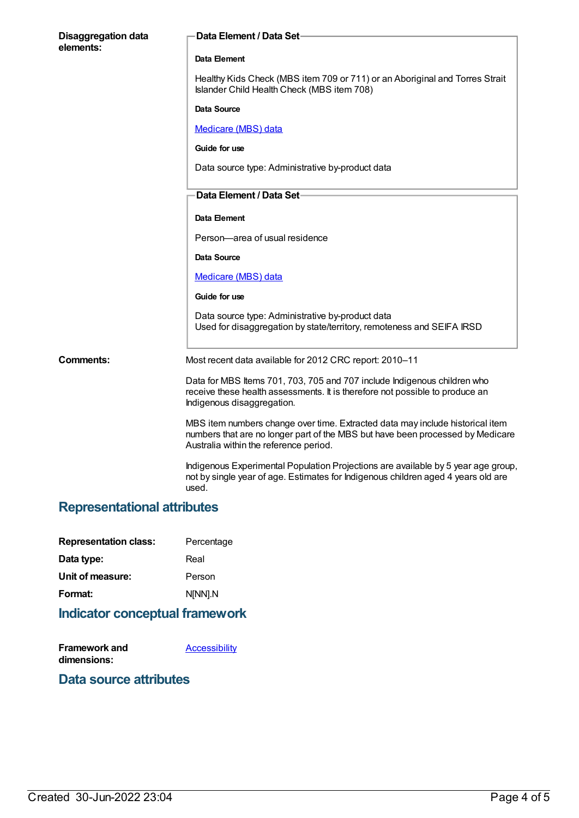| <b>Disaggregation data</b><br>elements: | Data Element / Data Set-                                                                                                                                                                                  |
|-----------------------------------------|-----------------------------------------------------------------------------------------------------------------------------------------------------------------------------------------------------------|
|                                         | Data Element                                                                                                                                                                                              |
|                                         | Healthy Kids Check (MBS item 709 or 711) or an Aboriginal and Torres Strait<br>Islander Child Health Check (MBS item 708)                                                                                 |
|                                         | Data Source                                                                                                                                                                                               |
|                                         | Medicare (MBS) data                                                                                                                                                                                       |
|                                         | Guide for use                                                                                                                                                                                             |
|                                         | Data source type: Administrative by-product data                                                                                                                                                          |
|                                         | Data Element / Data Set-                                                                                                                                                                                  |
|                                         | Data Element                                                                                                                                                                                              |
|                                         | Person-area of usual residence                                                                                                                                                                            |
|                                         | Data Source                                                                                                                                                                                               |
|                                         | Medicare (MBS) data                                                                                                                                                                                       |
|                                         | Guide for use                                                                                                                                                                                             |
|                                         | Data source type: Administrative by-product data<br>Used for disaggregation by state/territory, remoteness and SEIFA IRSD                                                                                 |
| <b>Comments:</b>                        | Most recent data available for 2012 CRC report: 2010-11                                                                                                                                                   |
|                                         | Data for MBS Items 701, 703, 705 and 707 include Indigenous children who<br>receive these health assessments. It is therefore not possible to produce an<br>Indigenous disaggregation.                    |
|                                         | MBS item numbers change over time. Extracted data may include historical item<br>numbers that are no longer part of the MBS but have been processed by Medicare<br>Australia within the reference period. |
|                                         | Indigenous Experimental Population Projections are available by 5 year age group,<br>not by single year of age. Estimates for Indigenous children aged 4 years old are<br>used.                           |

## **Representational attributes**

| <b>Representation class:</b> | Percentage |
|------------------------------|------------|
| Data type:                   | Real       |
| Unit of measure:             | Person     |
| Format:                      | N[NN].N    |
|                              |            |

## **Indicator conceptual framework**

| Framework and | <b>Accessibility</b> |
|---------------|----------------------|
| dimensions:   |                      |

## **Data source attributes**